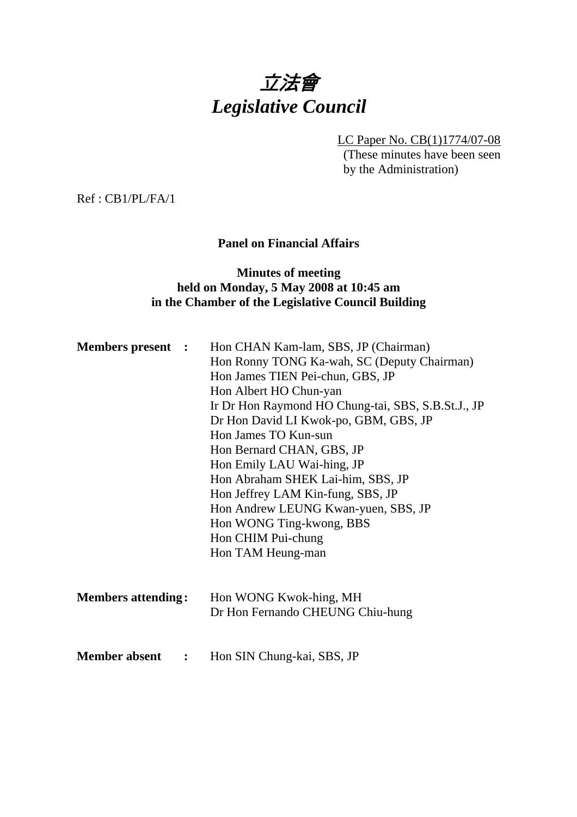# 立法會 *Legislative Council*

LC Paper No. CB(1)1774/07-08

(These minutes have been seen by the Administration)

Ref : CB1/PL/FA/1

## **Panel on Financial Affairs**

#### **Minutes of meeting held on Monday, 5 May 2008 at 10:45 am in the Chamber of the Legislative Council Building**

| <b>Members present :</b>               | Hon CHAN Kam-lam, SBS, JP (Chairman)<br>Hon Ronny TONG Ka-wah, SC (Deputy Chairman)<br>Hon James TIEN Pei-chun, GBS, JP<br>Hon Albert HO Chun-yan<br>Ir Dr Hon Raymond HO Chung-tai, SBS, S.B.St.J., JP<br>Dr Hon David LI Kwok-po, GBM, GBS, JP<br>Hon James TO Kun-sun<br>Hon Bernard CHAN, GBS, JP<br>Hon Emily LAU Wai-hing, JP<br>Hon Abraham SHEK Lai-him, SBS, JP<br>Hon Jeffrey LAM Kin-fung, SBS, JP<br>Hon Andrew LEUNG Kwan-yuen, SBS, JP<br>Hon WONG Ting-kwong, BBS<br>Hon CHIM Pui-chung<br>Hon TAM Heung-man |
|----------------------------------------|-----------------------------------------------------------------------------------------------------------------------------------------------------------------------------------------------------------------------------------------------------------------------------------------------------------------------------------------------------------------------------------------------------------------------------------------------------------------------------------------------------------------------------|
| <b>Members attending:</b>              | Hon WONG Kwok-hing, MH<br>Dr Hon Fernando CHEUNG Chiu-hung                                                                                                                                                                                                                                                                                                                                                                                                                                                                  |
| <b>Member absent</b><br>$\ddot{\cdot}$ | Hon SIN Chung-kai, SBS, JP                                                                                                                                                                                                                                                                                                                                                                                                                                                                                                  |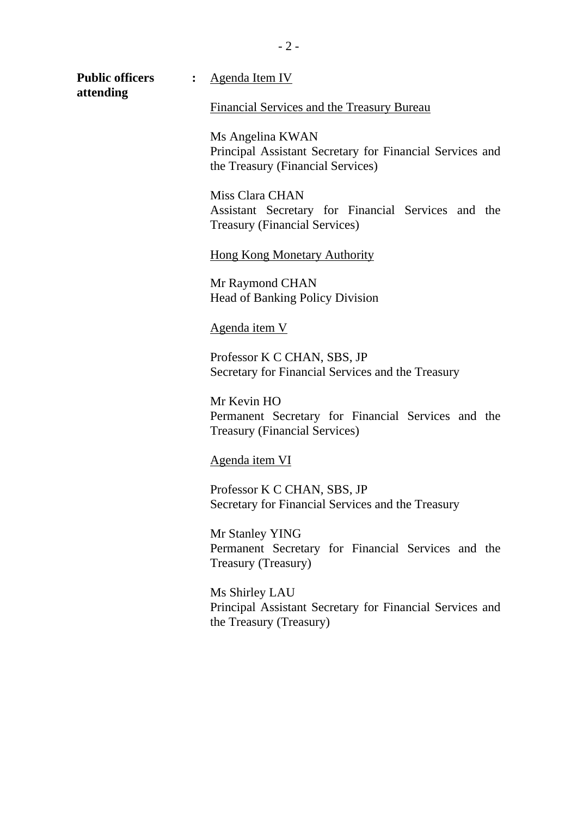$-2-$ 

**attending** 

**Public officers :** Agenda Item IV

Financial Services and the Treasury Bureau

Ms Angelina KWAN Principal Assistant Secretary for Financial Services and the Treasury (Financial Services)

Miss Clara CHAN Assistant Secretary for Financial Services and the Treasury (Financial Services)

Hong Kong Monetary Authority

Mr Raymond CHAN Head of Banking Policy Division

#### Agenda item V

Professor K C CHAN, SBS, JP Secretary for Financial Services and the Treasury

Mr Kevin HO Permanent Secretary for Financial Services and the Treasury (Financial Services)

#### Agenda item VI

Professor K C CHAN, SBS, JP Secretary for Financial Services and the Treasury

Mr Stanley YING Permanent Secretary for Financial Services and the Treasury (Treasury)

Ms Shirley LAU Principal Assistant Secretary for Financial Services and the Treasury (Treasury)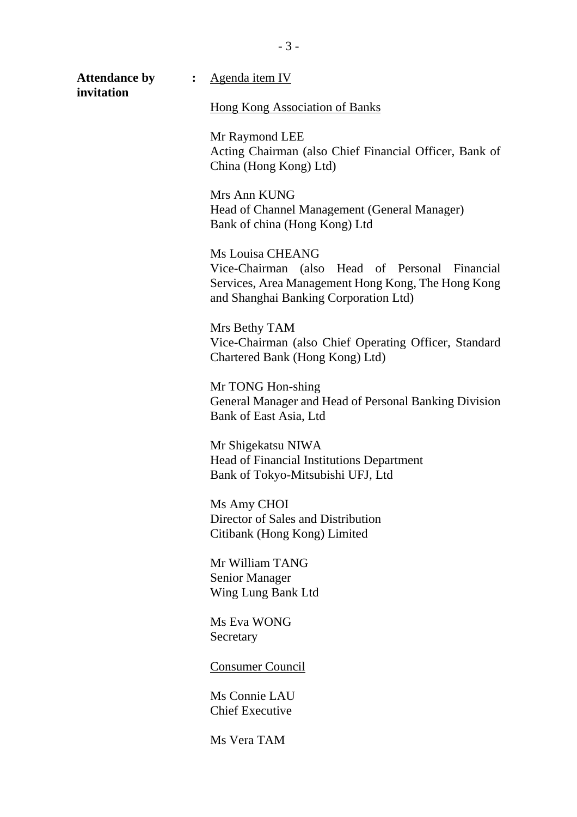**Attendance by :** Agenda item IV **invitation**  Hong Kong Association of Banks Mr Raymond LEE Acting Chairman (also Chief Financial Officer, Bank of China (Hong Kong) Ltd) Mrs Ann KUNG Head of Channel Management (General Manager) Bank of china (Hong Kong) Ltd Ms Louisa CHEANG Vice-Chairman (also Head of Personal Financial Services, Area Management Hong Kong, The Hong Kong and Shanghai Banking Corporation Ltd) Mrs Bethy TAM Vice-Chairman (also Chief Operating Officer, Standard Chartered Bank (Hong Kong) Ltd) Mr TONG Hon-shing General Manager and Head of Personal Banking Division Bank of East Asia, Ltd Mr Shigekatsu NIWA Head of Financial Institutions Department Bank of Tokyo-Mitsubishi UFJ, Ltd Ms Amy CHOI Director of Sales and Distribution Citibank (Hong Kong) Limited Mr William TANG Senior Manager Wing Lung Bank Ltd Ms Eva WONG **Secretary** 

Consumer Council

Ms Connie LAU Chief Executive

Ms Vera TAM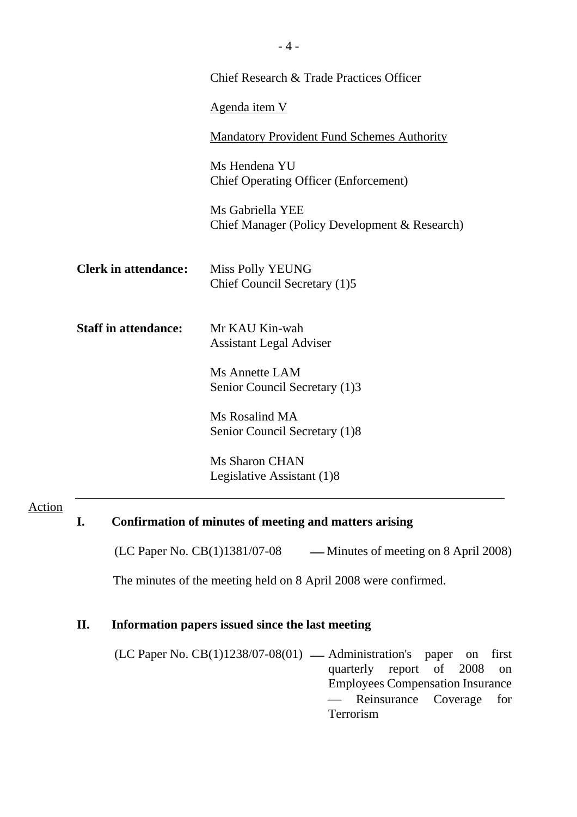|                             | Chief Research & Trade Practices Officer                          |  |  |  |  |
|-----------------------------|-------------------------------------------------------------------|--|--|--|--|
|                             | <u>Agenda item V</u>                                              |  |  |  |  |
|                             | <b>Mandatory Provident Fund Schemes Authority</b>                 |  |  |  |  |
|                             | Ms Hendena YU<br><b>Chief Operating Officer (Enforcement)</b>     |  |  |  |  |
|                             | Ms Gabriella YEE<br>Chief Manager (Policy Development & Research) |  |  |  |  |
| <b>Clerk in attendance:</b> | <b>Miss Polly YEUNG</b><br>Chief Council Secretary (1)5           |  |  |  |  |
| <b>Staff in attendance:</b> | Mr KAU Kin-wah<br><b>Assistant Legal Adviser</b>                  |  |  |  |  |
|                             | Ms Annette LAM<br>Senior Council Secretary (1)3                   |  |  |  |  |
|                             | Ms Rosalind MA<br>Senior Council Secretary (1)8                   |  |  |  |  |
|                             | <b>Ms Sharon CHAN</b><br>Legislative Assistant (1)8               |  |  |  |  |

## Action

## **I. Confirmation of minutes of meeting and matters arising**

(LC Paper No.  $CB(1)1381/07-08$  — Minutes of meeting on 8 April 2008)

The minutes of the meeting held on 8 April 2008 were confirmed.

## **II. Information papers issued since the last meeting**

 $(LC$  Paper No.  $CB(1)1238/07-08(01)$  — Administration's paper on first quarterly report of 2008 on Employees Compensation Insurance — Reinsurance Coverage for Terrorism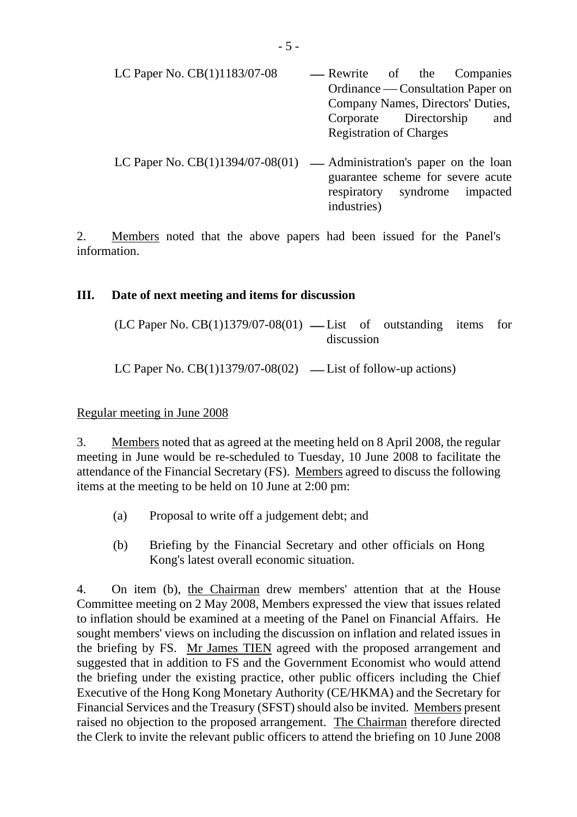| LC Paper No. $CB(1)1183/07-08$ | — Rewrite of the Companies     |                                   |  |                                   |  |  |
|--------------------------------|--------------------------------|-----------------------------------|--|-----------------------------------|--|--|
|                                |                                |                                   |  | Ordinance — Consultation Paper on |  |  |
|                                |                                | Company Names, Directors' Duties, |  |                                   |  |  |
|                                | Corporate Directorship         |                                   |  | and                               |  |  |
|                                | <b>Registration of Charges</b> |                                   |  |                                   |  |  |
|                                |                                |                                   |  |                                   |  |  |

LC Paper No.  $CB(1)1394/07-08(01)$  — Administration's paper on the loan guarantee scheme for severe acute respiratory syndrome impacted industries)

2. Members noted that the above papers had been issued for the Panel's information.

#### **III. Date of next meeting and items for discussion**

| $(LC$ Paper No. $CB(1)1379/07-08(01)$ — List of outstanding items for |  |  |  |  |  |  |
|-----------------------------------------------------------------------|--|--|--|--|--|--|
| discussion                                                            |  |  |  |  |  |  |

LC Paper No.  $CB(1)1379/07-08(02)$  — List of follow-up actions)

#### Regular meeting in June 2008

3. Members noted that as agreed at the meeting held on 8 April 2008, the regular meeting in June would be re-scheduled to Tuesday, 10 June 2008 to facilitate the attendance of the Financial Secretary (FS). Members agreed to discuss the following items at the meeting to be held on 10 June at 2:00 pm:

- (a) Proposal to write off a judgement debt; and
- (b) Briefing by the Financial Secretary and other officials on Hong Kong's latest overall economic situation.

4. On item (b), the Chairman drew members' attention that at the House Committee meeting on 2 May 2008, Members expressed the view that issues related to inflation should be examined at a meeting of the Panel on Financial Affairs. He sought members' views on including the discussion on inflation and related issues in the briefing by FS. Mr James TIEN agreed with the proposed arrangement and suggested that in addition to FS and the Government Economist who would attend the briefing under the existing practice, other public officers including the Chief Executive of the Hong Kong Monetary Authority (CE/HKMA) and the Secretary for Financial Services and the Treasury (SFST) should also be invited. Members present raised no objection to the proposed arrangement. The Chairman therefore directed the Clerk to invite the relevant public officers to attend the briefing on 10 June 2008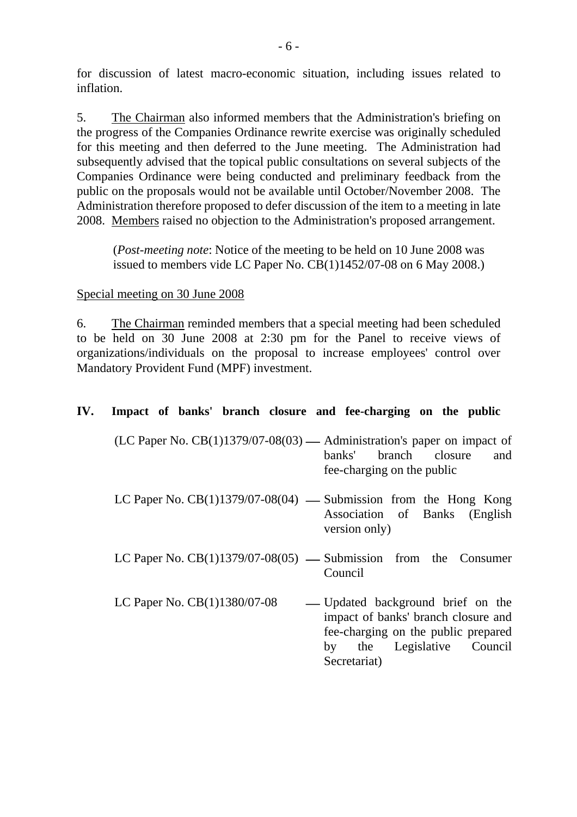for discussion of latest macro-economic situation, including issues related to inflation.

5. The Chairman also informed members that the Administration's briefing on the progress of the Companies Ordinance rewrite exercise was originally scheduled for this meeting and then deferred to the June meeting. The Administration had subsequently advised that the topical public consultations on several subjects of the Companies Ordinance were being conducted and preliminary feedback from the public on the proposals would not be available until October/November 2008. The Administration therefore proposed to defer discussion of the item to a meeting in late 2008. Members raised no objection to the Administration's proposed arrangement.

(*Post-meeting note*: Notice of the meeting to be held on 10 June 2008 was issued to members vide LC Paper No. CB(1)1452/07-08 on 6 May 2008.)

#### Special meeting on 30 June 2008

6. The Chairman reminded members that a special meeting had been scheduled to be held on 30 June 2008 at 2:30 pm for the Panel to receive views of organizations/individuals on the proposal to increase employees' control over Mandatory Provident Fund (MPF) investment.

#### **IV. Impact of banks' branch closure and fee-charging on the public**

- (LC Paper No.  $CB(1)1379/07-08(03)$  Administration's paper on impact of banks' branch closure and fee-charging on the public
- LC Paper No.  $CB(1)1379/07-08(04)$  Submission from the Hong Kong Association of Banks (English version only)
- LC Paper No.  $CB(1)1379/07-08(05)$  Submission from the Consumer Council
- LC Paper No.  $CB(1)1380/07-08$  Updated background brief on the impact of banks' branch closure and fee-charging on the public prepared by the Legislative Council Secretariat)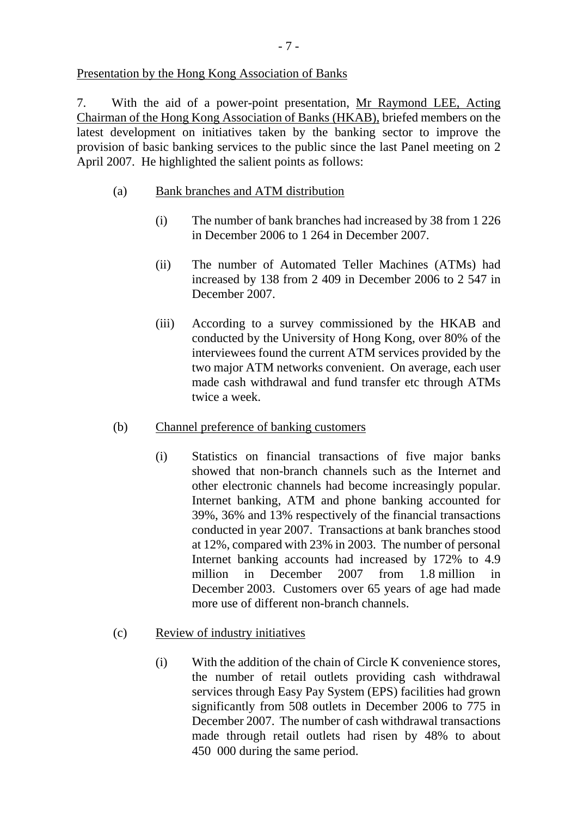### Presentation by the Hong Kong Association of Banks

7. With the aid of a power-point presentation, Mr Raymond LEE, Acting Chairman of the Hong Kong Association of Banks (HKAB), briefed members on the latest development on initiatives taken by the banking sector to improve the provision of basic banking services to the public since the last Panel meeting on 2 April 2007. He highlighted the salient points as follows:

## (a) Bank branches and ATM distribution

- (i) The number of bank branches had increased by 38 from 1 226 in December 2006 to 1 264 in December 2007.
- (ii) The number of Automated Teller Machines (ATMs) had increased by 138 from 2 409 in December 2006 to 2 547 in December 2007.
- (iii) According to a survey commissioned by the HKAB and conducted by the University of Hong Kong, over 80% of the interviewees found the current ATM services provided by the two major ATM networks convenient. On average, each user made cash withdrawal and fund transfer etc through ATMs twice a week.
- (b) Channel preference of banking customers
	- (i) Statistics on financial transactions of five major banks showed that non-branch channels such as the Internet and other electronic channels had become increasingly popular. Internet banking, ATM and phone banking accounted for 39%, 36% and 13% respectively of the financial transactions conducted in year 2007. Transactions at bank branches stood at 12%, compared with 23% in 2003. The number of personal Internet banking accounts had increased by 172% to 4.9 million in December 2007 from 1.8 million in December 2003. Customers over 65 years of age had made more use of different non-branch channels.
- (c) Review of industry initiatives
	- (i) With the addition of the chain of Circle K convenience stores, the number of retail outlets providing cash withdrawal services through Easy Pay System (EPS) facilities had grown significantly from 508 outlets in December 2006 to 775 in December 2007. The number of cash withdrawal transactions made through retail outlets had risen by 48% to about 450 000 during the same period.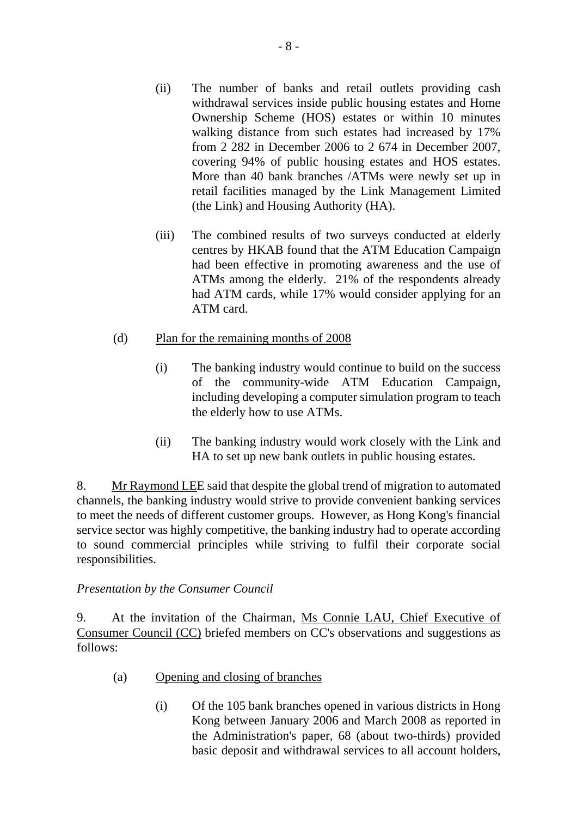- (ii) The number of banks and retail outlets providing cash withdrawal services inside public housing estates and Home Ownership Scheme (HOS) estates or within 10 minutes walking distance from such estates had increased by 17% from 2 282 in December 2006 to 2 674 in December 2007, covering 94% of public housing estates and HOS estates. More than 40 bank branches /ATMs were newly set up in retail facilities managed by the Link Management Limited (the Link) and Housing Authority (HA).
- (iii) The combined results of two surveys conducted at elderly centres by HKAB found that the ATM Education Campaign had been effective in promoting awareness and the use of ATMs among the elderly. 21% of the respondents already had ATM cards, while 17% would consider applying for an ATM card.
- (d) Plan for the remaining months of 2008
	- (i) The banking industry would continue to build on the success of the community-wide ATM Education Campaign, including developing a computer simulation program to teach the elderly how to use ATMs.
	- (ii) The banking industry would work closely with the Link and HA to set up new bank outlets in public housing estates.

8. Mr Raymond LEE said that despite the global trend of migration to automated channels, the banking industry would strive to provide convenient banking services to meet the needs of different customer groups. However, as Hong Kong's financial service sector was highly competitive, the banking industry had to operate according to sound commercial principles while striving to fulfil their corporate social responsibilities.

## *Presentation by the Consumer Council*

9. At the invitation of the Chairman, Ms Connie LAU, Chief Executive of Consumer Council (CC) briefed members on CC's observations and suggestions as follows:

- (a) Opening and closing of branches
	- (i) Of the 105 bank branches opened in various districts in Hong Kong between January 2006 and March 2008 as reported in the Administration's paper, 68 (about two-thirds) provided basic deposit and withdrawal services to all account holders,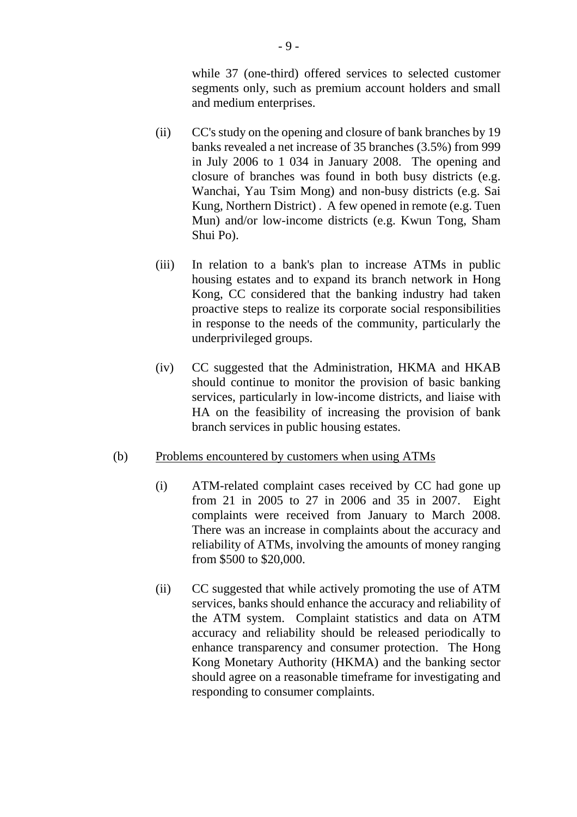while 37 (one-third) offered services to selected customer segments only, such as premium account holders and small and medium enterprises.

- (ii) CC's study on the opening and closure of bank branches by 19 banks revealed a net increase of 35 branches (3.5%) from 999 in July 2006 to 1 034 in January 2008. The opening and closure of branches was found in both busy districts (e.g. Wanchai, Yau Tsim Mong) and non-busy districts (e.g. Sai Kung, Northern District) . A few opened in remote (e.g. Tuen Mun) and/or low-income districts (e.g. Kwun Tong, Sham Shui Po).
- (iii) In relation to a bank's plan to increase ATMs in public housing estates and to expand its branch network in Hong Kong, CC considered that the banking industry had taken proactive steps to realize its corporate social responsibilities in response to the needs of the community, particularly the underprivileged groups.
- (iv) CC suggested that the Administration, HKMA and HKAB should continue to monitor the provision of basic banking services, particularly in low-income districts, and liaise with HA on the feasibility of increasing the provision of bank branch services in public housing estates.

#### (b) Problems encountered by customers when using ATMs

- (i) ATM-related complaint cases received by CC had gone up from 21 in 2005 to 27 in 2006 and 35 in 2007. Eight complaints were received from January to March 2008. There was an increase in complaints about the accuracy and reliability of ATMs, involving the amounts of money ranging from \$500 to \$20,000.
- (ii) CC suggested that while actively promoting the use of ATM services, banks should enhance the accuracy and reliability of the ATM system. Complaint statistics and data on ATM accuracy and reliability should be released periodically to enhance transparency and consumer protection. The Hong Kong Monetary Authority (HKMA) and the banking sector should agree on a reasonable timeframe for investigating and responding to consumer complaints.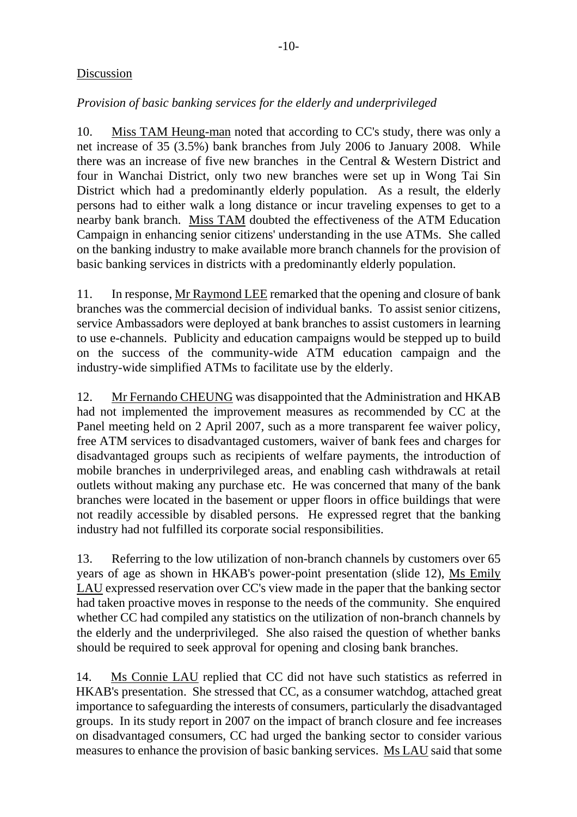## **Discussion**

## *Provision of basic banking services for the elderly and underprivileged*

10. Miss TAM Heung-man noted that according to CC's study, there was only a net increase of 35 (3.5%) bank branches from July 2006 to January 2008. While there was an increase of five new branches in the Central & Western District and four in Wanchai District, only two new branches were set up in Wong Tai Sin District which had a predominantly elderly population. As a result, the elderly persons had to either walk a long distance or incur traveling expenses to get to a nearby bank branch. Miss TAM doubted the effectiveness of the ATM Education Campaign in enhancing senior citizens' understanding in the use ATMs. She called on the banking industry to make available more branch channels for the provision of basic banking services in districts with a predominantly elderly population.

11. In response, Mr Raymond LEE remarked that the opening and closure of bank branches was the commercial decision of individual banks. To assist senior citizens, service Ambassadors were deployed at bank branches to assist customers in learning to use e-channels. Publicity and education campaigns would be stepped up to build on the success of the community-wide ATM education campaign and the industry-wide simplified ATMs to facilitate use by the elderly.

12. Mr Fernando CHEUNG was disappointed that the Administration and HKAB had not implemented the improvement measures as recommended by CC at the Panel meeting held on 2 April 2007, such as a more transparent fee waiver policy, free ATM services to disadvantaged customers, waiver of bank fees and charges for disadvantaged groups such as recipients of welfare payments, the introduction of mobile branches in underprivileged areas, and enabling cash withdrawals at retail outlets without making any purchase etc. He was concerned that many of the bank branches were located in the basement or upper floors in office buildings that were not readily accessible by disabled persons. He expressed regret that the banking industry had not fulfilled its corporate social responsibilities.

13. Referring to the low utilization of non-branch channels by customers over 65 years of age as shown in HKAB's power-point presentation (slide 12), Ms Emily LAU expressed reservation over CC's view made in the paper that the banking sector had taken proactive moves in response to the needs of the community. She enquired whether CC had compiled any statistics on the utilization of non-branch channels by the elderly and the underprivileged. She also raised the question of whether banks should be required to seek approval for opening and closing bank branches.

14. Ms Connie LAU replied that CC did not have such statistics as referred in HKAB's presentation. She stressed that CC, as a consumer watchdog, attached great importance to safeguarding the interests of consumers, particularly the disadvantaged groups. In its study report in 2007 on the impact of branch closure and fee increases on disadvantaged consumers, CC had urged the banking sector to consider various measures to enhance the provision of basic banking services. Ms LAU said that some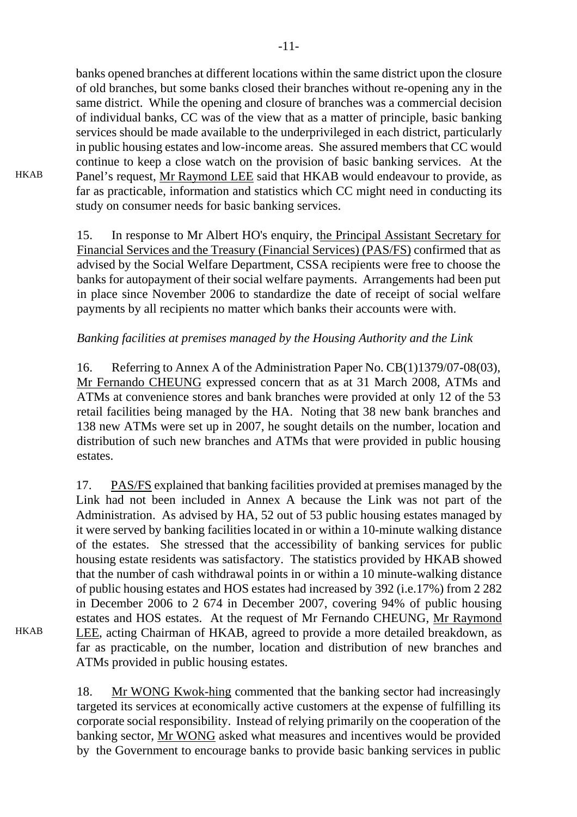banks opened branches at different locations within the same district upon the closure of old branches, but some banks closed their branches without re-opening any in the same district. While the opening and closure of branches was a commercial decision of individual banks, CC was of the view that as a matter of principle, basic banking services should be made available to the underprivileged in each district, particularly in public housing estates and low-income areas. She assured members that CC would continue to keep a close watch on the provision of basic banking services. At the Panel's request, Mr Raymond LEE said that HKAB would endeavour to provide, as far as practicable, information and statistics which CC might need in conducting its study on consumer needs for basic banking services.

15. In response to Mr Albert HO's enquiry, the Principal Assistant Secretary for Financial Services and the Treasury (Financial Services) (PAS/FS) confirmed that as advised by the Social Welfare Department, CSSA recipients were free to choose the banks for autopayment of their social welfare payments. Arrangements had been put in place since November 2006 to standardize the date of receipt of social welfare payments by all recipients no matter which banks their accounts were with.

## *Banking facilities at premises managed by the Housing Authority and the Link*

16. Referring to Annex A of the Administration Paper No. CB(1)1379/07-08(03), Mr Fernando CHEUNG expressed concern that as at 31 March 2008, ATMs and ATMs at convenience stores and bank branches were provided at only 12 of the 53 retail facilities being managed by the HA. Noting that 38 new bank branches and 138 new ATMs were set up in 2007, he sought details on the number, location and distribution of such new branches and ATMs that were provided in public housing estates.

17. PAS/FS explained that banking facilities provided at premises managed by the Link had not been included in Annex A because the Link was not part of the Administration. As advised by HA, 52 out of 53 public housing estates managed by it were served by banking facilities located in or within a 10-minute walking distance of the estates. She stressed that the accessibility of banking services for public housing estate residents was satisfactory. The statistics provided by HKAB showed that the number of cash withdrawal points in or within a 10 minute-walking distance of public housing estates and HOS estates had increased by 392 (i.e.17%) from 2 282 in December 2006 to 2 674 in December 2007, covering 94% of public housing estates and HOS estates. At the request of Mr Fernando CHEUNG, Mr Raymond LEE, acting Chairman of HKAB, agreed to provide a more detailed breakdown, as far as practicable, on the number, location and distribution of new branches and ATMs provided in public housing estates.

18. Mr WONG Kwok-hing commented that the banking sector had increasingly targeted its services at economically active customers at the expense of fulfilling its corporate social responsibility. Instead of relying primarily on the cooperation of the banking sector, Mr WONG asked what measures and incentives would be provided by the Government to encourage banks to provide basic banking services in public

**HKAB** 

**HKAB**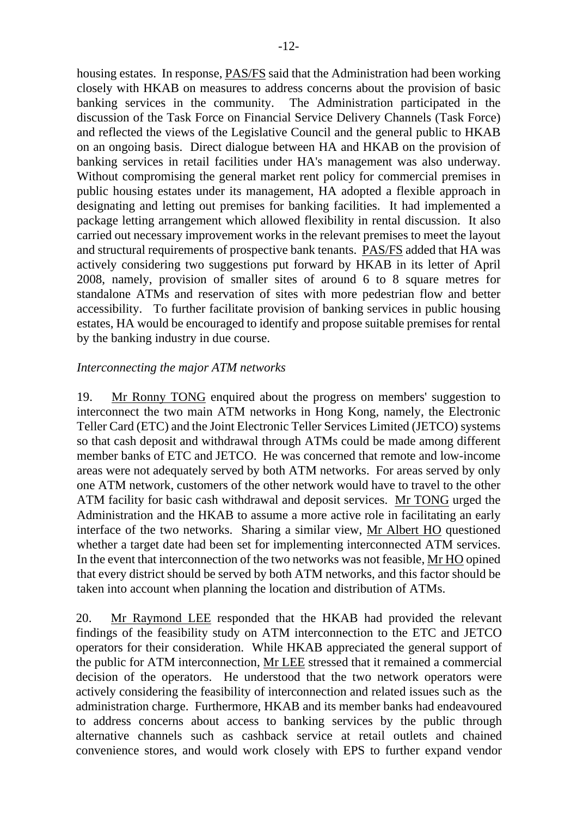housing estates. In response, PAS/FS said that the Administration had been working closely with HKAB on measures to address concerns about the provision of basic banking services in the community. The Administration participated in the discussion of the Task Force on Financial Service Delivery Channels (Task Force) and reflected the views of the Legislative Council and the general public to HKAB on an ongoing basis. Direct dialogue between HA and HKAB on the provision of banking services in retail facilities under HA's management was also underway. Without compromising the general market rent policy for commercial premises in public housing estates under its management, HA adopted a flexible approach in designating and letting out premises for banking facilities. It had implemented a package letting arrangement which allowed flexibility in rental discussion. It also carried out necessary improvement works in the relevant premises to meet the layout and structural requirements of prospective bank tenants. PAS/FS added that HA was actively considering two suggestions put forward by HKAB in its letter of April 2008, namely, provision of smaller sites of around 6 to 8 square metres for standalone ATMs and reservation of sites with more pedestrian flow and better accessibility. To further facilitate provision of banking services in public housing estates, HA would be encouraged to identify and propose suitable premises for rental by the banking industry in due course.

#### *Interconnecting the major ATM networks*

19. Mr Ronny TONG enquired about the progress on members' suggestion to interconnect the two main ATM networks in Hong Kong, namely, the Electronic Teller Card (ETC) and the Joint Electronic Teller Services Limited (JETCO) systems so that cash deposit and withdrawal through ATMs could be made among different member banks of ETC and JETCO. He was concerned that remote and low-income areas were not adequately served by both ATM networks. For areas served by only one ATM network, customers of the other network would have to travel to the other ATM facility for basic cash withdrawal and deposit services. Mr TONG urged the Administration and the HKAB to assume a more active role in facilitating an early interface of the two networks. Sharing a similar view, Mr Albert HO questioned whether a target date had been set for implementing interconnected ATM services. In the event that interconnection of the two networks was not feasible, Mr HO opined that every district should be served by both ATM networks, and this factor should be taken into account when planning the location and distribution of ATMs.

20. Mr Raymond LEE responded that the HKAB had provided the relevant findings of the feasibility study on ATM interconnection to the ETC and JETCO operators for their consideration. While HKAB appreciated the general support of the public for ATM interconnection, Mr LEE stressed that it remained a commercial decision of the operators. He understood that the two network operators were actively considering the feasibility of interconnection and related issues such as the administration charge. Furthermore, HKAB and its member banks had endeavoured to address concerns about access to banking services by the public through alternative channels such as cashback service at retail outlets and chained convenience stores, and would work closely with EPS to further expand vendor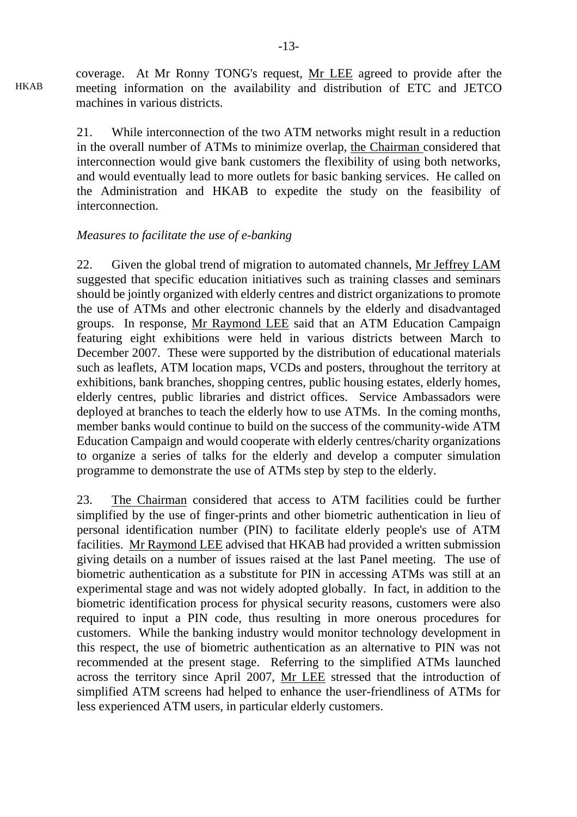coverage. At Mr Ronny TONG's request, Mr LEE agreed to provide after the meeting information on the availability and distribution of ETC and JETCO machines in various districts.

21. While interconnection of the two ATM networks might result in a reduction in the overall number of ATMs to minimize overlap, the Chairman considered that interconnection would give bank customers the flexibility of using both networks, and would eventually lead to more outlets for basic banking services. He called on the Administration and HKAB to expedite the study on the feasibility of interconnection.

#### *Measures to facilitate the use of e-banking*

HKAB

22. Given the global trend of migration to automated channels, Mr Jeffrey LAM suggested that specific education initiatives such as training classes and seminars should be jointly organized with elderly centres and district organizations to promote the use of ATMs and other electronic channels by the elderly and disadvantaged groups. In response, Mr Raymond LEE said that an ATM Education Campaign featuring eight exhibitions were held in various districts between March to December 2007. These were supported by the distribution of educational materials such as leaflets, ATM location maps, VCDs and posters, throughout the territory at exhibitions, bank branches, shopping centres, public housing estates, elderly homes, elderly centres, public libraries and district offices. Service Ambassadors were deployed at branches to teach the elderly how to use ATMs. In the coming months, member banks would continue to build on the success of the community-wide ATM Education Campaign and would cooperate with elderly centres/charity organizations to organize a series of talks for the elderly and develop a computer simulation programme to demonstrate the use of ATMs step by step to the elderly.

23. The Chairman considered that access to ATM facilities could be further simplified by the use of finger-prints and other biometric authentication in lieu of personal identification number (PIN) to facilitate elderly people's use of ATM facilities. Mr Raymond LEE advised that HKAB had provided a written submission giving details on a number of issues raised at the last Panel meeting. The use of biometric authentication as a substitute for PIN in accessing ATMs was still at an experimental stage and was not widely adopted globally. In fact, in addition to the biometric identification process for physical security reasons, customers were also required to input a PIN code, thus resulting in more onerous procedures for customers. While the banking industry would monitor technology development in this respect, the use of biometric authentication as an alternative to PIN was not recommended at the present stage. Referring to the simplified ATMs launched across the territory since April 2007, Mr LEE stressed that the introduction of simplified ATM screens had helped to enhance the user-friendliness of ATMs for less experienced ATM users, in particular elderly customers.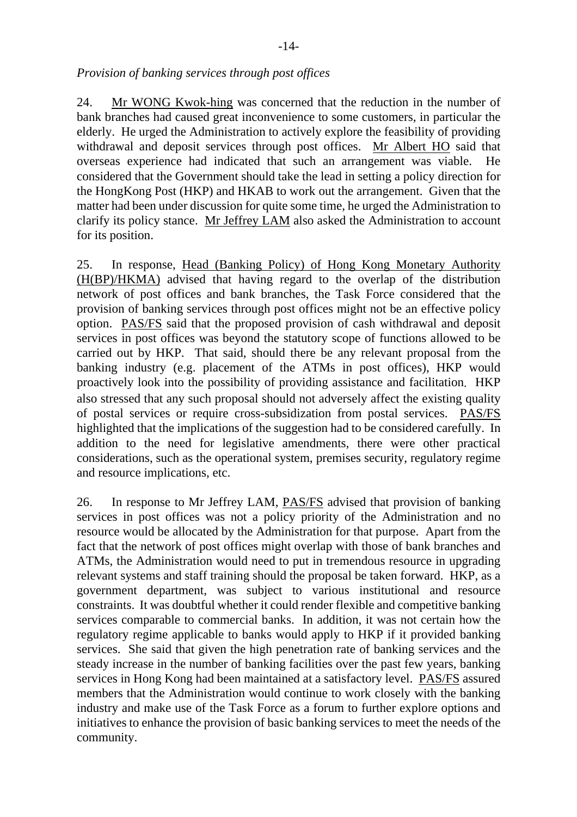#### *Provision of banking services through post offices*

24. Mr WONG Kwok-hing was concerned that the reduction in the number of bank branches had caused great inconvenience to some customers, in particular the elderly. He urged the Administration to actively explore the feasibility of providing withdrawal and deposit services through post offices. Mr Albert HO said that overseas experience had indicated that such an arrangement was viable. He considered that the Government should take the lead in setting a policy direction for the HongKong Post (HKP) and HKAB to work out the arrangement. Given that the matter had been under discussion for quite some time, he urged the Administration to clarify its policy stance. Mr Jeffrey LAM also asked the Administration to account for its position.

25. In response, Head (Banking Policy) of Hong Kong Monetary Authority (H(BP)/HKMA) advised that having regard to the overlap of the distribution network of post offices and bank branches, the Task Force considered that the provision of banking services through post offices might not be an effective policy option. PAS/FS said that the proposed provision of cash withdrawal and deposit services in post offices was beyond the statutory scope of functions allowed to be carried out by HKP. That said, should there be any relevant proposal from the banking industry (e.g. placement of the ATMs in post offices), HKP would proactively look into the possibility of providing assistance and facilitation. HKP also stressed that any such proposal should not adversely affect the existing quality of postal services or require cross-subsidization from postal services. PAS/FS highlighted that the implications of the suggestion had to be considered carefully. In addition to the need for legislative amendments, there were other practical considerations, such as the operational system, premises security, regulatory regime and resource implications, etc.

26. In response to Mr Jeffrey LAM, PAS/FS advised that provision of banking services in post offices was not a policy priority of the Administration and no resource would be allocated by the Administration for that purpose. Apart from the fact that the network of post offices might overlap with those of bank branches and ATMs, the Administration would need to put in tremendous resource in upgrading relevant systems and staff training should the proposal be taken forward. HKP, as a government department, was subject to various institutional and resource constraints. It was doubtful whether it could render flexible and competitive banking services comparable to commercial banks. In addition, it was not certain how the regulatory regime applicable to banks would apply to HKP if it provided banking services. She said that given the high penetration rate of banking services and the steady increase in the number of banking facilities over the past few years, banking services in Hong Kong had been maintained at a satisfactory level. PAS/FS assured members that the Administration would continue to work closely with the banking industry and make use of the Task Force as a forum to further explore options and initiatives to enhance the provision of basic banking services to meet the needs of the community.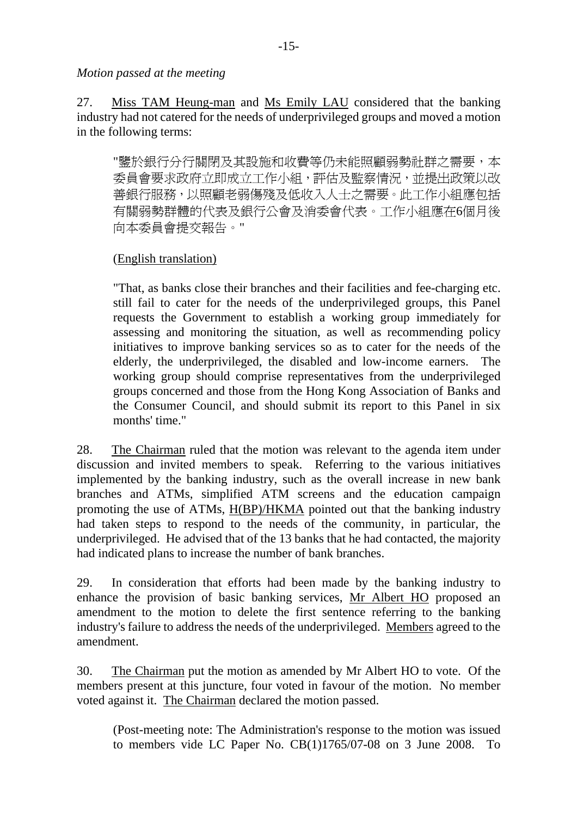*Motion passed at the meeting*

27. Miss TAM Heung-man and Ms Emily LAU considered that the banking industry had not catered for the needs of underprivileged groups and moved a motion in the following terms:

"鑒於銀行分行關閉及其設施和收費等仍未能照顧弱勢社群之需要,本 委員會要求政府立即成立工作小組,評估及監察情況,並提出政策以改 善銀行服務,以照顧老弱傷殘及低收入人士之需要。此工作小組應包括 有關弱勢群體的代表及銀行公會及消委會代表。工作小組應在6個月後 向本委員會提交報告。"

## (English translation)

"That, as banks close their branches and their facilities and fee-charging etc. still fail to cater for the needs of the underprivileged groups, this Panel requests the Government to establish a working group immediately for assessing and monitoring the situation, as well as recommending policy initiatives to improve banking services so as to cater for the needs of the elderly, the underprivileged, the disabled and low-income earners. The working group should comprise representatives from the underprivileged groups concerned and those from the Hong Kong Association of Banks and the Consumer Council, and should submit its report to this Panel in six months' time."

28. The Chairman ruled that the motion was relevant to the agenda item under discussion and invited members to speak. Referring to the various initiatives implemented by the banking industry, such as the overall increase in new bank branches and ATMs, simplified ATM screens and the education campaign promoting the use of ATMs, H(BP)/HKMA pointed out that the banking industry had taken steps to respond to the needs of the community, in particular, the underprivileged. He advised that of the 13 banks that he had contacted, the majority had indicated plans to increase the number of bank branches.

29. In consideration that efforts had been made by the banking industry to enhance the provision of basic banking services, Mr Albert HO proposed an amendment to the motion to delete the first sentence referring to the banking industry's failure to address the needs of the underprivileged. Members agreed to the amendment.

30. The Chairman put the motion as amended by Mr Albert HO to vote. Of the members present at this juncture, four voted in favour of the motion. No member voted against it. The Chairman declared the motion passed.

(Post-meeting note: The Administration's response to the motion was issued to members vide LC Paper No. CB(1)1765/07-08 on 3 June 2008. To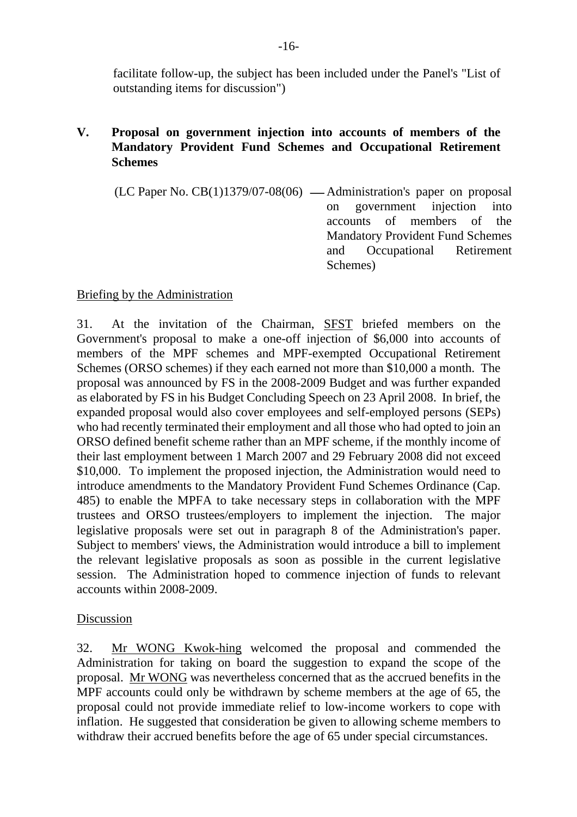facilitate follow-up, the subject has been included under the Panel's "List of outstanding items for discussion")

## **V. Proposal on government injection into accounts of members of the Mandatory Provident Fund Schemes and Occupational Retirement Schemes**

 $(LC$  Paper No.  $CB(1)1379/07-08(06)$  — Administration's paper on proposal on government injection into accounts of members of the Mandatory Provident Fund Schemes and Occupational Retirement Schemes)

## Briefing by the Administration

31. At the invitation of the Chairman, SFST briefed members on the Government's proposal to make a one-off injection of \$6,000 into accounts of members of the MPF schemes and MPF-exempted Occupational Retirement Schemes (ORSO schemes) if they each earned not more than \$10,000 a month. The proposal was announced by FS in the 2008-2009 Budget and was further expanded as elaborated by FS in his Budget Concluding Speech on 23 April 2008. In brief, the expanded proposal would also cover employees and self-employed persons (SEPs) who had recently terminated their employment and all those who had opted to join an ORSO defined benefit scheme rather than an MPF scheme, if the monthly income of their last employment between 1 March 2007 and 29 February 2008 did not exceed \$10,000. To implement the proposed injection, the Administration would need to introduce amendments to the Mandatory Provident Fund Schemes Ordinance (Cap. 485) to enable the MPFA to take necessary steps in collaboration with the MPF trustees and ORSO trustees/employers to implement the injection. The major legislative proposals were set out in paragraph 8 of the Administration's paper. Subject to members' views, the Administration would introduce a bill to implement the relevant legislative proposals as soon as possible in the current legislative session. The Administration hoped to commence injection of funds to relevant accounts within 2008-2009.

## Discussion

32. Mr WONG Kwok-hing welcomed the proposal and commended the Administration for taking on board the suggestion to expand the scope of the proposal. Mr WONG was nevertheless concerned that as the accrued benefits in the MPF accounts could only be withdrawn by scheme members at the age of 65, the proposal could not provide immediate relief to low-income workers to cope with inflation. He suggested that consideration be given to allowing scheme members to withdraw their accrued benefits before the age of 65 under special circumstances.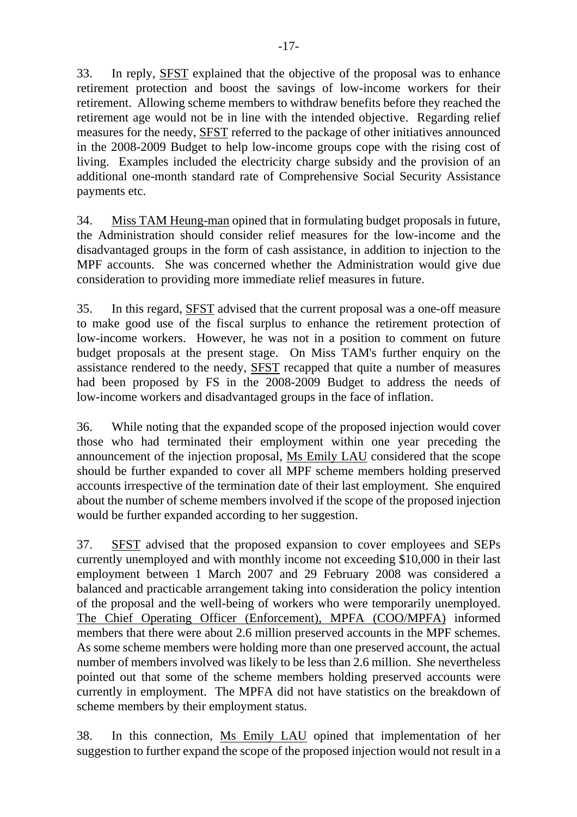33. In reply, SFST explained that the objective of the proposal was to enhance retirement protection and boost the savings of low-income workers for their retirement. Allowing scheme members to withdraw benefits before they reached the retirement age would not be in line with the intended objective. Regarding relief measures for the needy, SFST referred to the package of other initiatives announced in the 2008-2009 Budget to help low-income groups cope with the rising cost of living. Examples included the electricity charge subsidy and the provision of an additional one-month standard rate of Comprehensive Social Security Assistance payments etc.

34. Miss TAM Heung-man opined that in formulating budget proposals in future, the Administration should consider relief measures for the low-income and the disadvantaged groups in the form of cash assistance, in addition to injection to the MPF accounts. She was concerned whether the Administration would give due consideration to providing more immediate relief measures in future.

35. In this regard, SFST advised that the current proposal was a one-off measure to make good use of the fiscal surplus to enhance the retirement protection of low-income workers. However, he was not in a position to comment on future budget proposals at the present stage. On Miss TAM's further enquiry on the assistance rendered to the needy, SFST recapped that quite a number of measures had been proposed by FS in the 2008-2009 Budget to address the needs of low-income workers and disadvantaged groups in the face of inflation.

36. While noting that the expanded scope of the proposed injection would cover those who had terminated their employment within one year preceding the announcement of the injection proposal, Ms Emily LAU considered that the scope should be further expanded to cover all MPF scheme members holding preserved accounts irrespective of the termination date of their last employment. She enquired about the number of scheme members involved if the scope of the proposed injection would be further expanded according to her suggestion.

37. SFST advised that the proposed expansion to cover employees and SEPs currently unemployed and with monthly income not exceeding \$10,000 in their last employment between 1 March 2007 and 29 February 2008 was considered a balanced and practicable arrangement taking into consideration the policy intention of the proposal and the well-being of workers who were temporarily unemployed. The Chief Operating Officer (Enforcement), MPFA (COO/MPFA) informed members that there were about 2.6 million preserved accounts in the MPF schemes. As some scheme members were holding more than one preserved account, the actual number of members involved was likely to be less than 2.6 million. She nevertheless pointed out that some of the scheme members holding preserved accounts were currently in employment. The MPFA did not have statistics on the breakdown of scheme members by their employment status.

38. In this connection, Ms Emily LAU opined that implementation of her suggestion to further expand the scope of the proposed injection would not result in a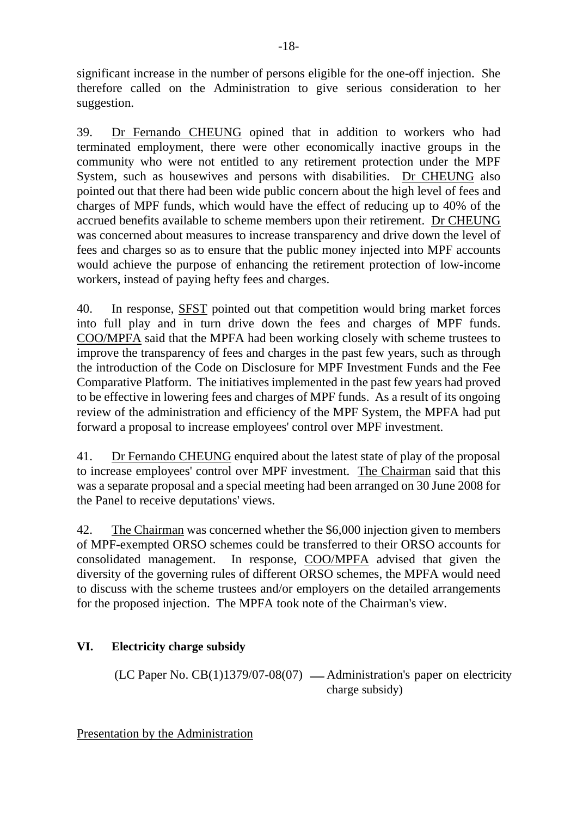significant increase in the number of persons eligible for the one-off injection. She therefore called on the Administration to give serious consideration to her suggestion.

39. Dr Fernando CHEUNG opined that in addition to workers who had terminated employment, there were other economically inactive groups in the community who were not entitled to any retirement protection under the MPF System, such as housewives and persons with disabilities. Dr CHEUNG also pointed out that there had been wide public concern about the high level of fees and charges of MPF funds, which would have the effect of reducing up to 40% of the accrued benefits available to scheme members upon their retirement. Dr CHEUNG was concerned about measures to increase transparency and drive down the level of fees and charges so as to ensure that the public money injected into MPF accounts would achieve the purpose of enhancing the retirement protection of low-income workers, instead of paying hefty fees and charges.

40. In response, SFST pointed out that competition would bring market forces into full play and in turn drive down the fees and charges of MPF funds. COO/MPFA said that the MPFA had been working closely with scheme trustees to improve the transparency of fees and charges in the past few years, such as through the introduction of the Code on Disclosure for MPF Investment Funds and the Fee Comparative Platform. The initiatives implemented in the past few years had proved to be effective in lowering fees and charges of MPF funds. As a result of its ongoing review of the administration and efficiency of the MPF System, the MPFA had put forward a proposal to increase employees' control over MPF investment.

41. Dr Fernando CHEUNG enquired about the latest state of play of the proposal to increase employees' control over MPF investment. The Chairman said that this was a separate proposal and a special meeting had been arranged on 30 June 2008 for the Panel to receive deputations' views.

42. The Chairman was concerned whether the \$6,000 injection given to members of MPF-exempted ORSO schemes could be transferred to their ORSO accounts for consolidated management. In response, COO/MPFA advised that given the diversity of the governing rules of different ORSO schemes, the MPFA would need to discuss with the scheme trustees and/or employers on the detailed arrangements for the proposed injection. The MPFA took note of the Chairman's view.

# **VI. Electricity charge subsidy**

(LC Paper No.  $CB(1)1379/07-08(07)$  — Administration's paper on electricity charge subsidy)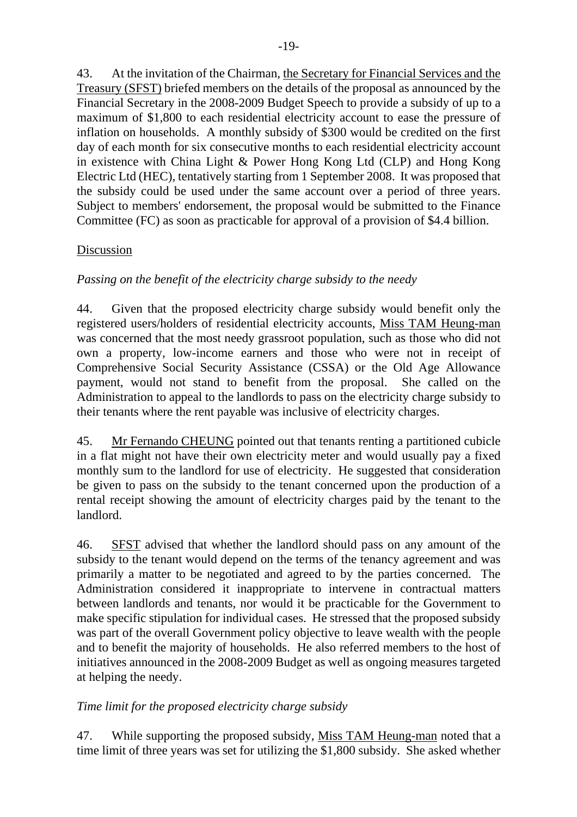43. At the invitation of the Chairman, the Secretary for Financial Services and the Treasury (SFST) briefed members on the details of the proposal as announced by the Financial Secretary in the 2008-2009 Budget Speech to provide a subsidy of up to a maximum of \$1,800 to each residential electricity account to ease the pressure of inflation on households. A monthly subsidy of \$300 would be credited on the first day of each month for six consecutive months to each residential electricity account in existence with China Light & Power Hong Kong Ltd (CLP) and Hong Kong Electric Ltd (HEC), tentatively starting from 1 September 2008. It was proposed that the subsidy could be used under the same account over a period of three years. Subject to members' endorsement, the proposal would be submitted to the Finance Committee (FC) as soon as practicable for approval of a provision of \$4.4 billion.

## Discussion

## *Passing on the benefit of the electricity charge subsidy to the needy*

44. Given that the proposed electricity charge subsidy would benefit only the registered users/holders of residential electricity accounts, Miss TAM Heung-man was concerned that the most needy grassroot population, such as those who did not own a property, low-income earners and those who were not in receipt of Comprehensive Social Security Assistance (CSSA) or the Old Age Allowance payment, would not stand to benefit from the proposal. She called on the Administration to appeal to the landlords to pass on the electricity charge subsidy to their tenants where the rent payable was inclusive of electricity charges.

45. Mr Fernando CHEUNG pointed out that tenants renting a partitioned cubicle in a flat might not have their own electricity meter and would usually pay a fixed monthly sum to the landlord for use of electricity. He suggested that consideration be given to pass on the subsidy to the tenant concerned upon the production of a rental receipt showing the amount of electricity charges paid by the tenant to the landlord.

46. SFST advised that whether the landlord should pass on any amount of the subsidy to the tenant would depend on the terms of the tenancy agreement and was primarily a matter to be negotiated and agreed to by the parties concerned. The Administration considered it inappropriate to intervene in contractual matters between landlords and tenants, nor would it be practicable for the Government to make specific stipulation for individual cases. He stressed that the proposed subsidy was part of the overall Government policy objective to leave wealth with the people and to benefit the majority of households. He also referred members to the host of initiatives announced in the 2008-2009 Budget as well as ongoing measures targeted at helping the needy.

## *Time limit for the proposed electricity charge subsidy*

47. While supporting the proposed subsidy, Miss TAM Heung-man noted that a time limit of three years was set for utilizing the \$1,800 subsidy. She asked whether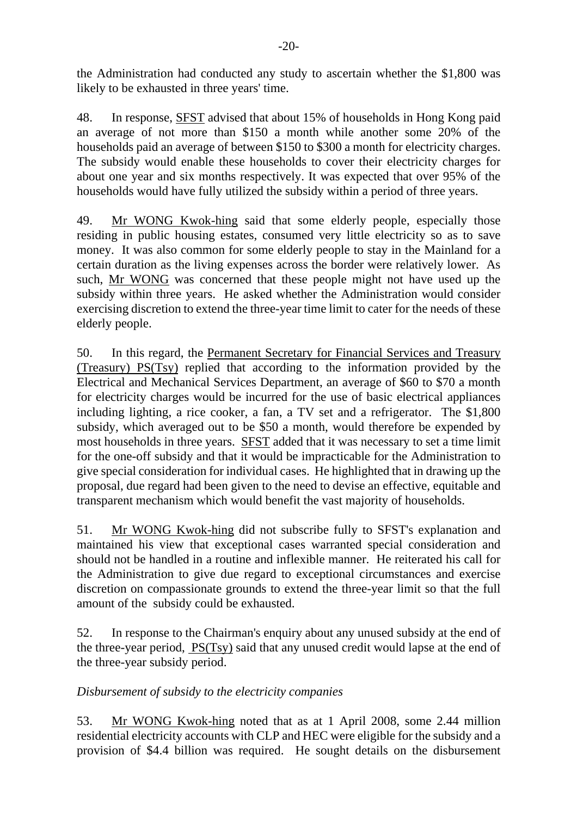the Administration had conducted any study to ascertain whether the \$1,800 was likely to be exhausted in three years' time.

48. In response, SFST advised that about 15% of households in Hong Kong paid an average of not more than \$150 a month while another some 20% of the households paid an average of between \$150 to \$300 a month for electricity charges. The subsidy would enable these households to cover their electricity charges for about one year and six months respectively. It was expected that over 95% of the households would have fully utilized the subsidy within a period of three years.

49. Mr WONG Kwok-hing said that some elderly people, especially those residing in public housing estates, consumed very little electricity so as to save money. It was also common for some elderly people to stay in the Mainland for a certain duration as the living expenses across the border were relatively lower. As such, Mr WONG was concerned that these people might not have used up the subsidy within three years. He asked whether the Administration would consider exercising discretion to extend the three-year time limit to cater for the needs of these elderly people.

50. In this regard, the Permanent Secretary for Financial Services and Treasury (Treasury) PS(Tsy) replied that according to the information provided by the Electrical and Mechanical Services Department, an average of \$60 to \$70 a month for electricity charges would be incurred for the use of basic electrical appliances including lighting, a rice cooker, a fan, a TV set and a refrigerator. The \$1,800 subsidy, which averaged out to be \$50 a month, would therefore be expended by most households in three years. SFST added that it was necessary to set a time limit for the one-off subsidy and that it would be impracticable for the Administration to give special consideration for individual cases. He highlighted that in drawing up the proposal, due regard had been given to the need to devise an effective, equitable and transparent mechanism which would benefit the vast majority of households.

51. Mr WONG Kwok-hing did not subscribe fully to SFST's explanation and maintained his view that exceptional cases warranted special consideration and should not be handled in a routine and inflexible manner. He reiterated his call for the Administration to give due regard to exceptional circumstances and exercise discretion on compassionate grounds to extend the three-year limit so that the full amount of the subsidy could be exhausted.

52. In response to the Chairman's enquiry about any unused subsidy at the end of the three-year period, PS(Tsy) said that any unused credit would lapse at the end of the three-year subsidy period.

## *Disbursement of subsidy to the electricity companies*

53. Mr WONG Kwok-hing noted that as at 1 April 2008, some 2.44 million residential electricity accounts with CLP and HEC were eligible for the subsidy and a provision of \$4.4 billion was required. He sought details on the disbursement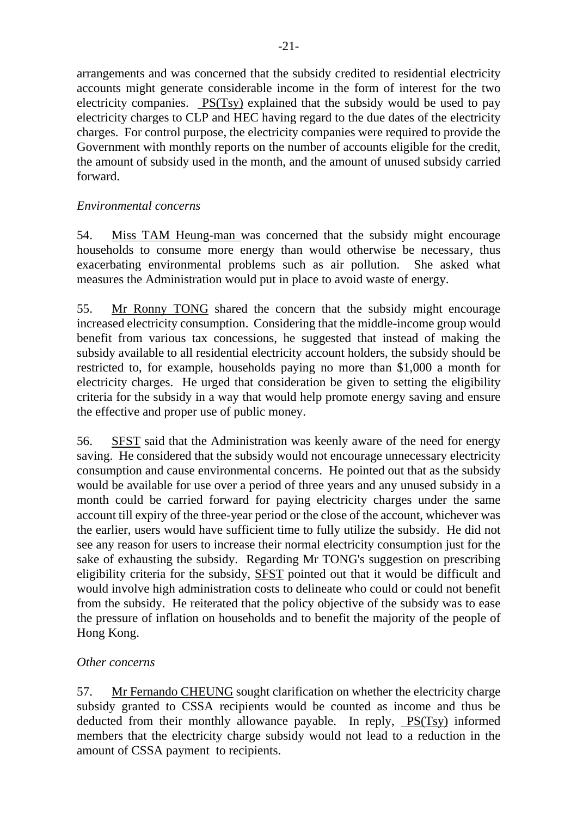arrangements and was concerned that the subsidy credited to residential electricity accounts might generate considerable income in the form of interest for the two electricity companies. PS(Tsy) explained that the subsidy would be used to pay electricity charges to CLP and HEC having regard to the due dates of the electricity charges. For control purpose, the electricity companies were required to provide the Government with monthly reports on the number of accounts eligible for the credit, the amount of subsidy used in the month, and the amount of unused subsidy carried forward.

## *Environmental concerns*

54. Miss TAM Heung-man was concerned that the subsidy might encourage households to consume more energy than would otherwise be necessary, thus exacerbating environmental problems such as air pollution. She asked what measures the Administration would put in place to avoid waste of energy.

55. Mr Ronny TONG shared the concern that the subsidy might encourage increased electricity consumption. Considering that the middle-income group would benefit from various tax concessions, he suggested that instead of making the subsidy available to all residential electricity account holders, the subsidy should be restricted to, for example, households paying no more than \$1,000 a month for electricity charges. He urged that consideration be given to setting the eligibility criteria for the subsidy in a way that would help promote energy saving and ensure the effective and proper use of public money.

56. SFST said that the Administration was keenly aware of the need for energy saving. He considered that the subsidy would not encourage unnecessary electricity consumption and cause environmental concerns. He pointed out that as the subsidy would be available for use over a period of three years and any unused subsidy in a month could be carried forward for paying electricity charges under the same account till expiry of the three-year period or the close of the account, whichever was the earlier, users would have sufficient time to fully utilize the subsidy. He did not see any reason for users to increase their normal electricity consumption just for the sake of exhausting the subsidy. Regarding Mr TONG's suggestion on prescribing eligibility criteria for the subsidy, SFST pointed out that it would be difficult and would involve high administration costs to delineate who could or could not benefit from the subsidy. He reiterated that the policy objective of the subsidy was to ease the pressure of inflation on households and to benefit the majority of the people of Hong Kong.

## *Other concerns*

57. Mr Fernando CHEUNG sought clarification on whether the electricity charge subsidy granted to CSSA recipients would be counted as income and thus be deducted from their monthly allowance payable. In reply, PS(Tsy) informed members that the electricity charge subsidy would not lead to a reduction in the amount of CSSA payment to recipients.